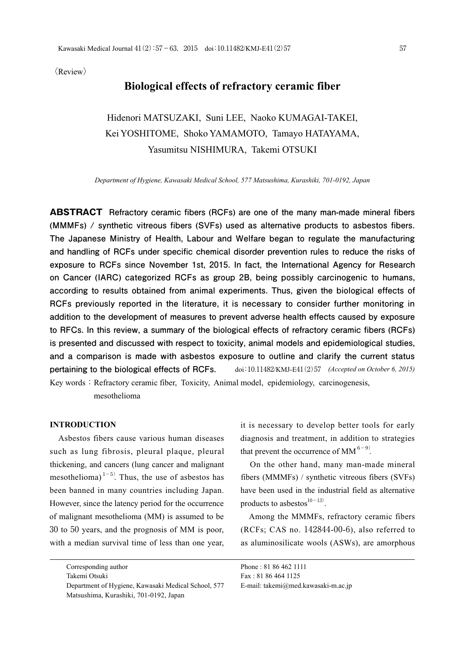$\langle$ Review $\rangle$ 

# **Biological effects of refractory ceramic fiber**

# Hidenori MATSUZAKI, Suni LEE, Naoko KUMAGAI-TAKEI, Kei YOSHITOME, Shoko YAMAMOTO, Tamayo HATAYAMA, Yasumitsu NISHIMURA, Takemi OTSUKI

*Department of Hygiene, Kawasaki Medical School, 577 Matsushima, Kurashiki, 701-0192, Japan*

**ABSTRACT Refractory ceramic fibers (RCFs) are one of the many man-made mineral fibers (MMMFs) / synthetic vitreous fibers (SVFs) used as alternative products to asbestos fibers. The Japanese Ministry of Health, Labour and Welfare began to regulate the manufacturing and handling of RCFs under specific chemical disorder prevention rules to reduce the risks of exposure to RCFs since November 1st, 2015. In fact, the International Agency for Research on Cancer (IARC) categorized RCFs as group 2B, being possibly carcinogenic to humans, according to results obtained from animal experiments. Thus, given the biological effects of RCFs previously reported in the literature, it is necessary to consider further monitoring in addition to the development of measures to prevent adverse health effects caused by exposure to RFCs. In this review, a summary of the biological effects of refractory ceramic fibers (RCFs) is presented and discussed with respect to toxicity, animal models and epidemiological studies, and a comparison is made with asbestos exposure to outline and clarify the current status pertaining to the biological effects of RCFs.** doi:10.11482/KMJ-E41(2)57 *(Accepted on October 6, 2015)* Key words: Refractory ceramic fiber, Toxicity, Animal model, epidemiology, carcinogenesis,

mesothelioma

## **INTRODUCTION**

Asbestos fibers cause various human diseases such as lung fibrosis, pleural plaque, pleural thickening, and cancers (lung cancer and malignant mesothelioma)<sup>1-5</sup>. Thus, the use of asbestos has been banned in many countries including Japan. However, since the latency period for the occurrence of malignant mesothelioma (MM) is assumed to be 30 to 50 years, and the prognosis of MM is poor, with a median survival time of less than one year,

Takemi Otsuki

it is necessary to develop better tools for early diagnosis and treatment, in addition to strategies that prevent the occurrence of MM<sup>6-9)</sup>.

On the other hand, many man-made mineral fibers (MMMFs) / synthetic vitreous fibers (SVFs) have been used in the industrial field as alternative products to asbestos $^{10-13)}$ .

Among the MMMFs, refractory ceramic fibers (RCFs; CAS no. 142844-00-6), also referred to as aluminosilicate wools (ASWs), are amorphous

Corresponding author

Department of Hygiene, Kawasaki Medical School, 577 Matsushima, Kurashiki, 701-0192, Japan

Phone : 81 86 462 1111 Fax : 81 86 464 1125 E-mail: takemi@med.kawasaki-m.ac.jp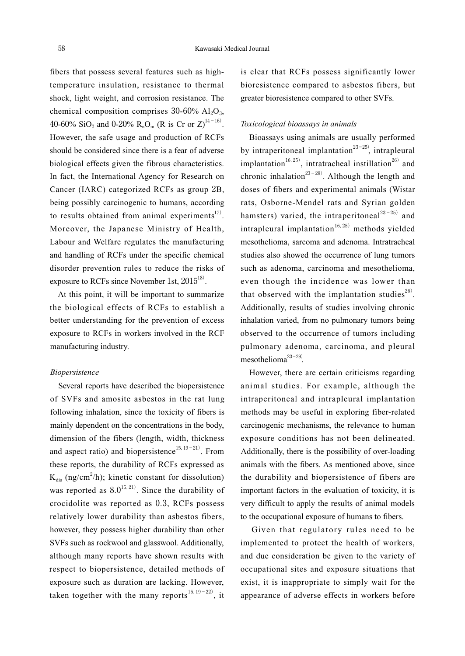fibers that possess several features such as hightemperature insulation, resistance to thermal shock, light weight, and corrosion resistance. The chemical composition comprises  $30-60\%$  Al<sub>2</sub>O<sub>3</sub>, 40-60% SiO<sub>2</sub> and 0-20% R<sub>n</sub>O<sub>m</sub> (R is Cr or Z)<sup>14-16</sup>. However, the safe usage and production of RCFs should be considered since there is a fear of adverse biological effects given the fibrous characteristics. In fact, the International Agency for Research on Cancer (IARC) categorized RCFs as group 2B, being possibly carcinogenic to humans, according to results obtained from animal experiments $^{17}$ . Moreover, the Japanese Ministry of Health, Labour and Welfare regulates the manufacturing and handling of RCFs under the specific chemical disorder prevention rules to reduce the risks of exposure to RCFs since November 1st,  $2015^{18}$ .

At this point, it will be important to summarize the biological effects of RCFs to establish a better understanding for the prevention of excess exposure to RCFs in workers involved in the RCF manufacturing industry.

#### *Biopersistence*

Several reports have described the biopersistence of SVFs and amosite asbestos in the rat lung following inhalation, since the toxicity of fibers is mainly dependent on the concentrations in the body, dimension of the fibers (length, width, thickness and aspect ratio) and biopersistence<sup>15, 19-21)</sup>. From these reports, the durability of RCFs expressed as  $K_{dis}$  (ng/cm<sup>2</sup>/h); kinetic constant for dissolution) was reported as  $8.0^{15,21}$ . Since the durability of crocidolite was reported as 0.3, RCFs possess relatively lower durability than asbestos fibers, however, they possess higher durability than other SVFs such as rockwool and glasswool. Additionally, although many reports have shown results with respect to biopersistence, detailed methods of exposure such as duration are lacking. However, taken together with the many reports  $15, 19-22$ , it

is clear that RCFs possess significantly lower bioresistence compared to asbestos fibers, but greater bioresistence compared to other SVFs.

#### *Toxicological bioassays in animals*

Bioassays using animals are usually performed by intraperitoneal implantation $23-25$ , intrapleural implantation $16,25$ , intratracheal instillation $26$  and chronic inhalation $23-29$ . Although the length and doses of fibers and experimental animals (Wistar rats, Osborne-Mendel rats and Syrian golden hamsters) varied, the intraperitoneal $^{23-25)}$  and intrapleural implantation<sup>16,25)</sup> methods yielded mesothelioma, sarcoma and adenoma. Intratracheal studies also showed the occurrence of lung tumors such as adenoma, carcinoma and mesothelioma, even though the incidence was lower than that observed with the implantation studies $^{26}$ . Additionally, results of studies involving chronic inhalation varied, from no pulmonary tumors being observed to the occurrence of tumors including pulmonary adenoma, carcinoma, and pleural mesothelioma<sup>23-29)</sup>.

However, there are certain criticisms regarding animal studies. For example, although the intraperitoneal and intrapleural implantation methods may be useful in exploring fiber-related carcinogenic mechanisms, the relevance to human exposure conditions has not been delineated. Additionally, there is the possibility of over-loading animals with the fibers. As mentioned above, since the durability and biopersistence of fibers are important factors in the evaluation of toxicity, it is very difficult to apply the results of animal models to the occupational exposure of humans to fibers.

Given that regulatory rules need to be implemented to protect the health of workers, and due consideration be given to the variety of occupational sites and exposure situations that exist, it is inappropriate to simply wait for the appearance of adverse effects in workers before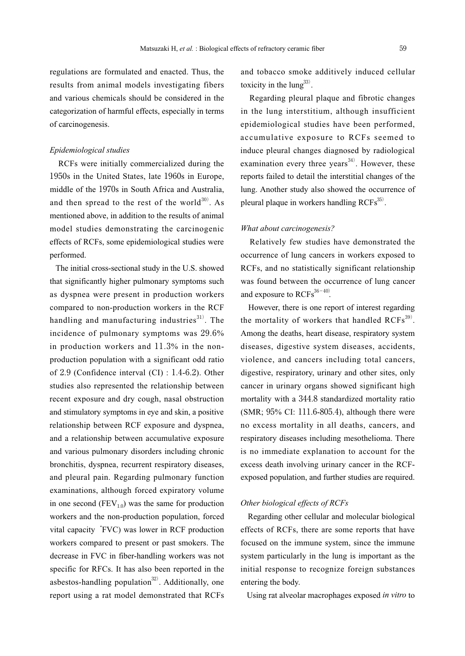regulations are formulated and enacted. Thus, the results from animal models investigating fibers and various chemicals should be considered in the categorization of harmful effects, especially in terms of carcinogenesis.

#### *Epidemiological studies*

RCFs were initially commercialized during the 1950s in the United States, late 1960s in Europe, middle of the 1970s in South Africa and Australia, and then spread to the rest of the world $^{30)}$ . As mentioned above, in addition to the results of animal model studies demonstrating the carcinogenic effects of RCFs, some epidemiological studies were performed.

The initial cross-sectional study in the U.S. showed that significantly higher pulmonary symptoms such as dyspnea were present in production workers compared to non-production workers in the RCF handling and manufacturing industries<sup>31)</sup>. The incidence of pulmonary symptoms was 29.6% in production workers and 11.3% in the nonproduction population with a significant odd ratio of 2.9 (Confidence interval (CI) : 1.4-6.2). Other studies also represented the relationship between recent exposure and dry cough, nasal obstruction and stimulatory symptoms in eye and skin, a positive relationship between RCF exposure and dyspnea, and a relationship between accumulative exposure and various pulmonary disorders including chronic bronchitis, dyspnea, recurrent respiratory diseases, and pleural pain. Regarding pulmonary function examinations, although forced expiratory volume in one second  $(FEV_{1,0})$  was the same for production workers and the non-production population, forced vital capacity'FVC) was lower in RCF production workers compared to present or past smokers. The decrease in FVC in fiber-handling workers was not specific for RFCs. It has also been reported in the asbestos-handling population $32$ . Additionally, one report using a rat model demonstrated that RCFs and tobacco smoke additively induced cellular toxicity in the  $\text{lung}^{33}$ .

Regarding pleural plaque and fibrotic changes in the lung interstitium, although insufficient epidemiological studies have been performed, accumulative exposure to RCFs seemed to induce pleural changes diagnosed by radiological examination every three years<sup>34)</sup>. However, these reports failed to detail the interstitial changes of the lung. Another study also showed the occurrence of pleural plaque in workers handling RCFs<sup>35)</sup>.

#### *What about carcinogenesis?*

Relatively few studies have demonstrated the occurrence of lung cancers in workers exposed to RCFs, and no statistically significant relationship was found between the occurrence of lung cancer and exposure to  $RCFs^{36-40}$ .

However, there is one report of interest regarding the mortality of workers that handled  $RCFs^{39}$ . Among the deaths, heart disease, respiratory system diseases, digestive system diseases, accidents, violence, and cancers including total cancers, digestive, respiratory, urinary and other sites, only cancer in urinary organs showed significant high mortality with a 344.8 standardized mortality ratio (SMR; 95% CI: 111.6-805.4), although there were no excess mortality in all deaths, cancers, and respiratory diseases including mesothelioma. There is no immediate explanation to account for the excess death involving urinary cancer in the RCFexposed population, and further studies are required.

# *Other biological effects of RCFs*

Regarding other cellular and molecular biological effects of RCFs, there are some reports that have focused on the immune system, since the immune system particularly in the lung is important as the initial response to recognize foreign substances entering the body.

Using rat alveolar macrophages exposed *in vitro* to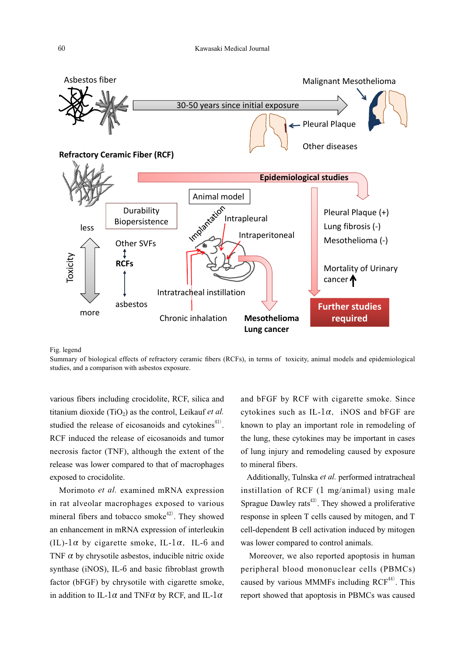

Fig. legend

Summary of biological effects of refractory ceramic fibers (RCFs), in terms of toxicity, animal models and epidemiological studies, and a comparison with asbestos exposure.

various fibers including crocidolite, RCF, silica and titanium dioxide (TiO<sub>2</sub>) as the control, Leikauf *et al.* studied the release of eicosanoids and cytokines $41$ . RCF induced the release of eicosanoids and tumor necrosis factor (TNF), although the extent of the release was lower compared to that of macrophages exposed to crocidolite.

Morimoto *et al.* examined mRNA expression in rat alveolar macrophages exposed to various mineral fibers and tobacco smoke<sup>42)</sup>. They showed an enhancement in mRNA expression of interleukin (IL)- $1\alpha$  by cigarette smoke, IL- $1\alpha$ , IL-6 and TNF  $\alpha$  by chrysotile asbestos, inducible nitric oxide synthase (iNOS), IL-6 and basic fibroblast growth factor (bFGF) by chrysotile with cigarette smoke, in addition to IL-1 $\alpha$  and TNF $\alpha$  by RCF, and IL-1 $\alpha$ 

and bFGF by RCF with cigarette smoke. Since cytokines such as IL-1 $\alpha$ , iNOS and bFGF are known to play an important role in remodeling of the lung, these cytokines may be important in cases of lung injury and remodeling caused by exposure to mineral fibers.

Additionally, Tulnska *et al.* performed intratracheal instillation of RCF (1 mg/animal) using male Sprague Dawley rats<sup>43)</sup>. They showed a proliferative response in spleen T cells caused by mitogen, and T cell-dependent B cell activation induced by mitogen was lower compared to control animals.

Moreover, we also reported apoptosis in human peripheral blood mononuclear cells (PBMCs) caused by various MMMFs including  $RCF<sup>44</sup>$ . This report showed that apoptosis in PBMCs was caused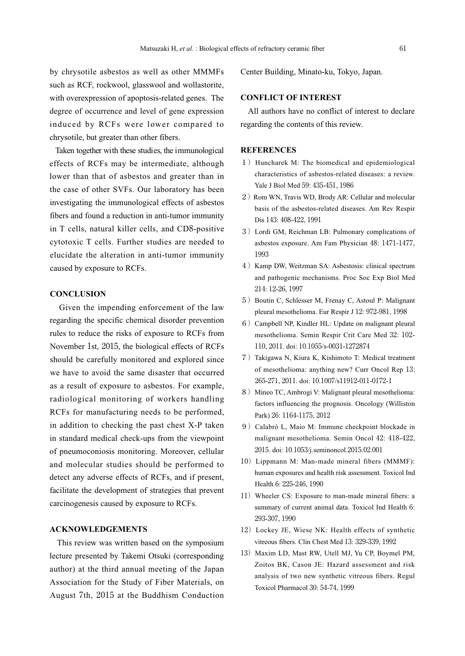by chrysotile asbestos as well as other MMMFs such as RCF, rockwool, glasswool and wollastorite, with overexpression of apoptosis-related genes. The degree of occurrence and level of gene expression induced by RCFs were lower compared to chrysotile, but greater than other fibers.

Taken together with these studies, the immunological effects of RCFs may be intermediate, although lower than that of asbestos and greater than in the case of other SVFs. Our laboratory has been investigating the immunological effects of asbestos fibers and found a reduction in anti-tumor immunity in T cells, natural killer cells, and CD8-positive cytotoxic T cells. Further studies are needed to elucidate the alteration in anti-tumor immunity caused by exposure to RCFs.

#### **CONCLUSION**

Given the impending enforcement of the law regarding the specific chemical disorder prevention rules to reduce the risks of exposure to RCFs from November 1st, 2015, the biological effects of RCFs should be carefully monitored and explored since we have to avoid the same disaster that occurred as a result of exposure to asbestos. For example, radiological monitoring of workers handling RCFs for manufacturing needs to be performed, in addition to checking the past chest X-P taken in standard medical check-ups from the viewpoint of pneumoconiosis monitoring. Moreover, cellular and molecular studies should be performed to detect any adverse effects of RCFs, and if present, facilitate the development of strategies that prevent carcinogenesis caused by exposure to RCFs.

#### **ACKNOWLEDGEMENTS**

This review was written based on the symposium lecture presented by Takemi Otsuki (corresponding author) at the third annual meeting of the Japan Association for the Study of Fiber Materials, on August 7th, 2015 at the Buddhism Conduction

Center Building, Minato-ku, Tokyo, Japan.

# **CONFLICT OF INTEREST**

All authors have no conflict of interest to declare regarding the contents of this review.

## **REFERENCES**

- 1) Huncharek M: The biomedical and epidemiological characteristics of asbestos-related diseases: a review. Yale J Biol Med 59: 435-451, 1986
- 2) Rom WN, Travis WD, Brody AR: Cellular and molecular basis of the asbestos-related diseases. Am Rev Respir Dis 143: 408-422, 1991
- 3)Lordi GM, Reichman LB: Pulmonary complications of asbestos exposure. Am Fam Physician 48: 1471-1477, 1993
- 4)Kamp DW, Weitzman SA: Asbestosis: clinical spectrum and pathogenic mechanisms. Proc Soc Exp Biol Med 214: 12-26, 1997
- 5) Boutin C, Schlesser M, Frenay C, Astoul P: Malignant pleural mesothelioma. Eur Respir J 12: 972-981, 1998
- 6) Campbell NP, Kindler HL: Update on malignant pleural mesothelioma. Semin Respir Crit Care Med 32: 102- 110, 2011. doi: 10.1055/s-0031-1272874
- 7) Takigawa N, Kiura K, Kishimoto T: Medical treatment of mesothelioma: anything new? Curr Oncol Rep 13: 265-271, 2011. doi: 10.1007/s11912-011-0172-1
- 8) Mineo TC, Ambrogi V: Malignant pleural mesothelioma: factors influencing the prognosis. Oncology (Williston Park) 26: 1164-1175, 2012
- 9) Calabrò L, Maio M: Immune checkpoint blockade in malignant mesothelioma. Semin Oncol 42: 418-422, 2015. doi: 10.1053/j.seminoncol.2015.02.001
- 10) Lippmann M: Man-made mineral fibers (MMMF): human exposures and health risk assessment. Toxicol Ind Health 6: 225-246, 1990
- 11) Wheeler CS: Exposure to man-made mineral fibers: a summary of current animal data. Toxicol Ind Health 6: 293-307, 1990
- 12) Lockey JE, Wiese NK: Health effects of synthetic vitreous fibers. Clin Chest Med 13: 329-339, 1992
- 13) Maxim LD, Mast RW, Utell MJ, Yu CP, Boymel PM, Zoitos BK, Cason JE: Hazard assessment and risk analysis of two new synthetic vitreous fibers. Regul Toxicol Pharmacol 30: 54-74, 1999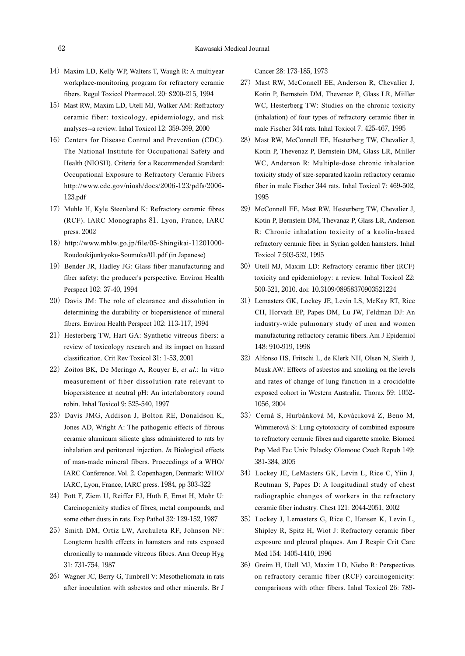- 14) Maxim LD, Kelly WP, Walters T, Waugh R: A multiyear workplace-monitoring program for refractory ceramic fibers. Regul Toxicol Pharmacol. 20: S200-215, 1994
- 15) Mast RW, Maxim LD, Utell MJ, Walker AM: Refractory ceramic fiber: toxicology, epidemiology, and risk analyses--a review. Inhal Toxicol 12: 359-399, 2000
- 16) Centers for Disease Control and Prevention (CDC). The National Institute for Occupational Safety and Health (NIOSH). Criteria for a Recommended Standard: Occupational Exposure to Refractory Ceramic Fibers http://www.cdc.gov/niosh/docs/2006-123/pdfs/2006- 123.pdf
- 17) Muhle H, Kyle Steenland K: Refractory ceramic fibres (RCF). IARC Monographs 81. Lyon, France, IARC press. 2002
- 18) http://www.mhlw.go.jp/file/05-Shingikai-11201000-Roudoukijunkyoku-Soumuka/01.pdf (in Japanese)
- 19) Bender JR, Hadley JG: Glass fiber manufacturing and fiber safety: the producer's perspective. Environ Health Perspect 102: 37-40, 1994
- 20) Davis JM: The role of clearance and dissolution in determining the durability or biopersistence of mineral fibers. Environ Health Perspect 102: 113-117, 1994
- 21) Hesterberg TW, Hart GA: Synthetic vitreous fibers: a review of toxicology research and its impact on hazard classification. Crit Rev Toxicol 31: 1-53, 2001
- 22) Zoitos BK, De Meringo A, Rouyer E, *et al.*: In vitro measurement of fiber dissolution rate relevant to biopersistence at neutral pH: An interlaboratory round robin. Inhal Toxicol 9: 525-540, 1997
- 23) Davis JMG, Addison J, Bolton RE, Donaldson K, Jones AD, Wright A: The pathogenic effects of fibrous ceramic aluminum silicate glass administered to rats by inhalation and peritoneal injection. *In* Biological effects of man-made mineral fibers. Proceedings of a WHO/ IARC Conference. Vol. 2. Copenhagen, Denmark: WHO/ IARC, Lyon, France, IARC press. 1984, pp 303-322
- 24) Pott F, Ziem U, Reiffer FJ, Huth F, Ernst H, Mohr U: Carcinogenicity studies of fibres, metal compounds, and some other dusts in rats. Exp Pathol 32: 129-152, 1987
- 25) Smith DM, Ortiz LW, Archuleta RF, Johnson NF: Longterm health effects in hamsters and rats exposed chronically to manmade vitreous fibres. Ann Occup Hyg 31: 731-754, 1987
- 26) Wagner JC, Berry G, Timbrell V: Mesotheliomata in rats after inoculation with asbestos and other minerals. Br J

Cancer 28: 173-185, 1973

- 27) Mast RW, McConnell EE, Anderson R, Chevalier J, Kotin P, Bernstein DM, Thevenaz P, Glass LR, Miiller WC, Hesterberg TW: Studies on the chronic toxicity (inhalation) of four types of refractory ceramic fiber in male Fischer 344 rats. Inhal Toxicol 7: 425-467, 1995
- 28) Mast RW, McConnell EE, Hesterberg TW, Chevalier J, Kotin P, Thevenaz P, Bernstein DM, Glass LR, Miiller WC, Anderson R: Multiple-dose chronic inhalation toxicity study of size-separated kaolin refractory ceramic fiber in male Fischer 344 rats. Inhal Toxicol 7: 469-502, 1995
- 29) McConnell EE, Mast RW, Hesterberg TW, Chevalier J, Kotin P, Bernstein DM, Thevanaz P, Glass LR, Anderson R: Chronic inhalation toxicity of a kaolin-based refractory ceramic fiber in Syrian golden hamsters. Inhal Toxicol 7:503-532, 1995
- 30) Utell MJ, Maxim LD: Refractory ceramic fiber (RCF) toxicity and epidemiology: a review. Inhal Toxicol 22: 500-521, 2010. doi: 10.3109/08958370903521224
- 31) Lemasters GK, Lockey JE, Levin LS, McKay RT, Rice CH, Horvath EP, Papes DM, Lu JW, Feldman DJ: An industry-wide pulmonary study of men and women manufacturing refractory ceramic fibers. Am J Epidemiol 148: 910-919, 1998
- 32) Alfonso HS, Fritschi L, de Klerk NH, Olsen N, Sleith J, Musk AW: Effects of asbestos and smoking on the levels and rates of change of lung function in a crocidolite exposed cohort in Western Australia. Thorax 59: 1052- 1056, 2004
- 33) Cerná S, Hurbánková M, Kováciková Z, Beno M, Wimmerová S: Lung cytotoxicity of combined exposure to refractory ceramic fibres and cigarette smoke. Biomed Pap Med Fac Univ Palacky Olomouc Czech Repub 149: 381-384, 2005
- 34) Lockey JE, LeMasters GK, Levin L, Rice C, Yiin J, Reutman S, Papes D: A longitudinal study of chest radiographic changes of workers in the refractory ceramic fiber industry. Chest 121: 2044-2051, 2002
- 35) Lockey J, Lemasters G, Rice C, Hansen K, Levin L, Shipley R, Spitz H, Wiot J: Refractory ceramic fiber exposure and pleural plaques. Am J Respir Crit Care Med 154: 1405-1410, 1996
- 36) Greim H, Utell MJ, Maxim LD, Niebo R: Perspectives on refractory ceramic fiber (RCF) carcinogenicity: comparisons with other fibers. Inhal Toxicol 26: 789-